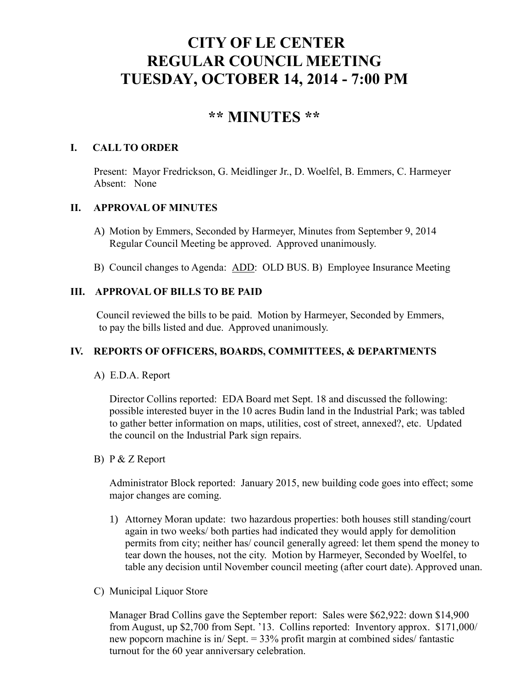# **CITY OF LE CENTER REGULAR COUNCIL MEETING TUESDAY, OCTOBER 14, 2014 - 7:00 PM**

## **\*\* MINUTES \*\***

## **I. CALL TO ORDER**

Present: Mayor Fredrickson, G. Meidlinger Jr., D. Woelfel, B. Emmers, C. Harmeyer Absent: None

## **II. APPROVAL OF MINUTES**

- A) Motion by Emmers, Seconded by Harmeyer, Minutes from September 9, 2014 Regular Council Meeting be approved. Approved unanimously.
- B) Council changes to Agenda: ADD: OLD BUS. B) Employee Insurance Meeting

## **III. APPROVAL OF BILLS TO BE PAID**

Council reviewed the bills to be paid. Motion by Harmeyer, Seconded by Emmers, to pay the bills listed and due. Approved unanimously.

## **IV. REPORTS OF OFFICERS, BOARDS, COMMITTEES, & DEPARTMENTS**

A) E.D.A. Report

 Director Collins reported: EDA Board met Sept. 18 and discussed the following: possible interested buyer in the 10 acres Budin land in the Industrial Park; was tabled to gather better information on maps, utilities, cost of street, annexed?, etc. Updated the council on the Industrial Park sign repairs.

B) P & Z Report

 Administrator Block reported: January 2015, new building code goes into effect; some major changes are coming.

- 1) Attorney Moran update: two hazardous properties: both houses still standing/court again in two weeks/ both parties had indicated they would apply for demolition permits from city; neither has/ council generally agreed: let them spend the money to tear down the houses, not the city. Motion by Harmeyer, Seconded by Woelfel, to table any decision until November council meeting (after court date). Approved unan.
- C) Municipal Liquor Store

Manager Brad Collins gave the September report: Sales were \$62,922: down \$14,900 from August, up \$2,700 from Sept. '13. Collins reported: Inventory approx. \$171,000/ new popcorn machine is in/ Sept. = 33% profit margin at combined sides/ fantastic turnout for the 60 year anniversary celebration.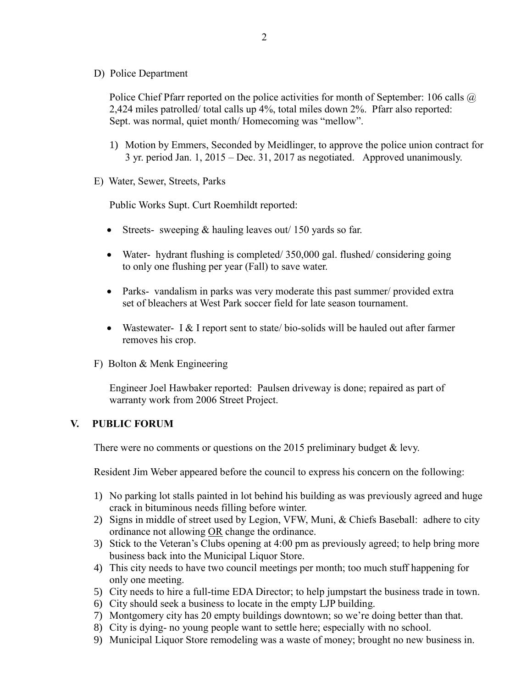D) Police Department

Police Chief Pfarr reported on the police activities for month of September: 106 calls @ 2,424 miles patrolled/ total calls up 4%, total miles down 2%. Pfarr also reported: Sept. was normal, quiet month/ Homecoming was "mellow".

- 1) Motion by Emmers, Seconded by Meidlinger, to approve the police union contract for 3 yr. period Jan. 1, 2015 – Dec. 31, 2017 as negotiated. Approved unanimously.
- E) Water, Sewer, Streets, Parks

Public Works Supt. Curt Roemhildt reported:

- Streets- sweeping  $&$  hauling leaves out  $/$  150 yards so far.
- Water- hydrant flushing is completed/ 350,000 gal. flushed/ considering going to only one flushing per year (Fall) to save water.
- Parks- vandalism in parks was very moderate this past summer/ provided extra set of bleachers at West Park soccer field for late season tournament.
- Wastewater- I  $&$  I report sent to state/bio-solids will be hauled out after farmer removes his crop.
- F) Bolton & Menk Engineering

 Engineer Joel Hawbaker reported: Paulsen driveway is done; repaired as part of warranty work from 2006 Street Project.

#### **V. PUBLIC FORUM**

There were no comments or questions on the 2015 preliminary budget & levy.

Resident Jim Weber appeared before the council to express his concern on the following:

- 1) No parking lot stalls painted in lot behind his building as was previously agreed and huge crack in bituminous needs filling before winter.
- 2) Signs in middle of street used by Legion, VFW, Muni, & Chiefs Baseball: adhere to city ordinance not allowing OR change the ordinance.
- 3) Stick to the Veteran's Clubs opening at 4:00 pm as previously agreed; to help bring more business back into the Municipal Liquor Store.
- 4) This city needs to have two council meetings per month; too much stuff happening for only one meeting.
- 5) City needs to hire a full-time EDA Director; to help jumpstart the business trade in town.
- 6) City should seek a business to locate in the empty LJP building.
- 7) Montgomery city has 20 empty buildings downtown; so we're doing better than that.
- 8) City is dying- no young people want to settle here; especially with no school.
- 9) Municipal Liquor Store remodeling was a waste of money; brought no new business in.